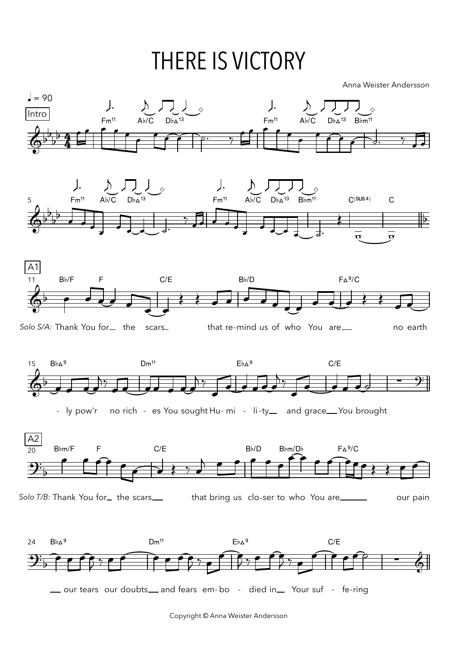## **THERE IS VICTORY**

Anna Weister Andersson

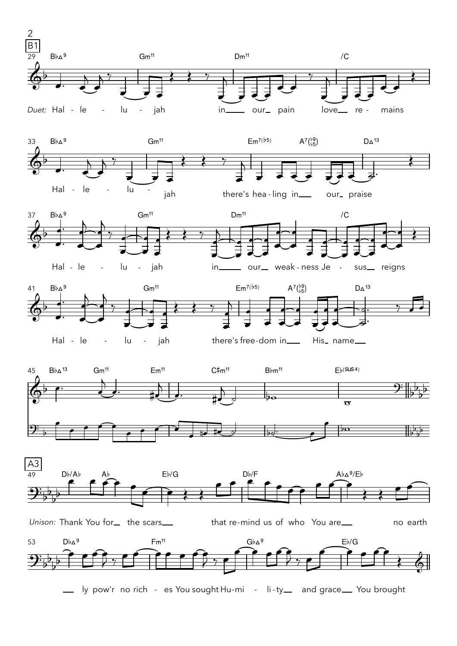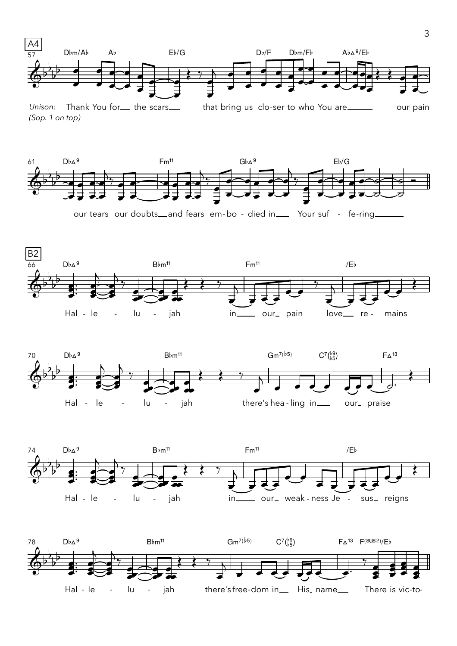

Thank You for<sub>—</sub> the scars<sub>—</sub> that bring us clo-ser to who You are\_\_\_\_\_ Unison: our pain (Sop. 1 on top)



\_our tears our doubts\_and fears em-bo - died in\_\_ Your suf - fe-ring\_







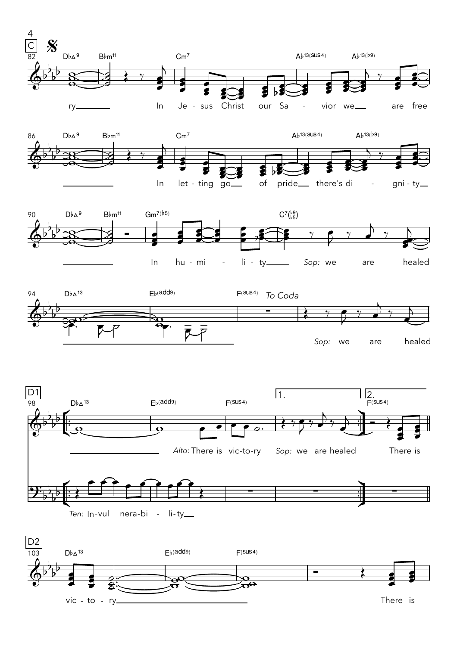

vic - to - ry\_\_\_\_\_

There is